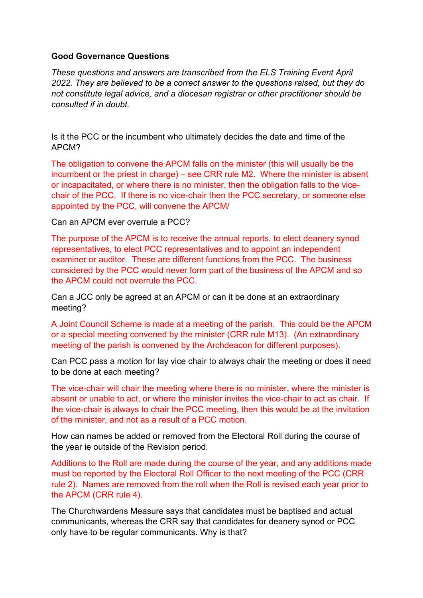## **Good Governance Questions**

*These questions and answers are transcribed from the ELS Training Event April 2022. They are believed to be a correct answer to the questions raised, but they do not constitute legal advice, and a diocesan registrar or other practitioner should be consulted if in doubt.*

Is it the PCC or the incumbent who ultimately decides the date and time of the APCM?

The obligation to convene the APCM falls on the minister (this will usually be the incumbent or the priest in charge) – see CRR rule M2. Where the minister is absent or incapacitated, or where there is no minister, then the obligation falls to the vicechair of the PCC. If there is no vice-chair then the PCC secretary, or someone else appointed by the PCC, will convene the APCM/

Can an APCM ever overrule a PCC?

The purpose of the APCM is to receive the annual reports, to elect deanery synod representatives, to elect PCC representatives and to appoint an independent examiner or auditor. These are different functions from the PCC. The business considered by the PCC would never form part of the business of the APCM and so the APCM could not overrule the PCC.

Can a JCC only be agreed at an APCM or can it be done at an extraordinary meeting?

A Joint Council Scheme is made at a meeting of the parish. This could be the APCM or a special meeting convened by the minister (CRR rule M13). (An extraordinary meeting of the parish is convened by the Archdeacon for different purposes).

Can PCC pass a motion for lay vice chair to always chair the meeting or does it need to be done at each meeting?

The vice-chair will chair the meeting where there is no minister, where the minister is absent or unable to act, or where the minister invites the vice-chair to act as chair. If the vice-chair is always to chair the PCC meeting, then this would be at the invitation of the minister, and not as a result of a PCC motion.

How can names be added or removed from the Electoral Roll during the course of the year ie outside of the Revision period.

Additions to the Roll are made during the course of the year, and any additions made must be reported by the Electoral Roll Officer to the next meeting of the PCC (CRR rule 2). Names are removed from the roll when the Roll is revised each year prior to the APCM (CRR rule 4).

The Churchwardens Measure says that candidates must be baptised and actual communicants, whereas the CRR say that candidates for deanery synod or PCC only have to be regular communicants. Why is that?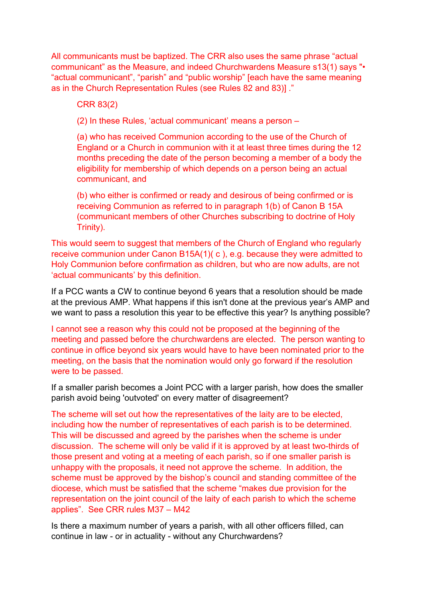All communicants must be baptized. The CRR also uses the same phrase "actual communicant" as the Measure, and indeed Churchwardens Measure s13(1) says "• "actual communicant", "parish" and "public worship" [each have the same meaning as in the Church Representation Rules (see Rules 82 and 83)] ."

CRR 83(2)

(2) In these Rules, 'actual communicant' means a person –

(a) who has received Communion according to the use of the Church of England or a Church in communion with it at least three times during the 12 months preceding the date of the person becoming a member of a body the eligibility for membership of which depends on a person being an actual communicant, and

(b) who either is confirmed or ready and desirous of being confirmed or is receiving Communion as referred to in paragraph 1(b) of Canon B 15A (communicant members of other Churches subscribing to doctrine of Holy Trinity).

This would seem to suggest that members of the Church of England who regularly receive communion under Canon B15A(1)( c ), e.g. because they were admitted to Holy Communion before confirmation as children, but who are now adults, are not 'actual communicants' by this definition.

If a PCC wants a CW to continue beyond 6 years that a resolution should be made at the previous AMP. What happens if this isn't done at the previous year's AMP and we want to pass a resolution this year to be effective this year? Is anything possible?

I cannot see a reason why this could not be proposed at the beginning of the meeting and passed before the churchwardens are elected. The person wanting to continue in office beyond six years would have to have been nominated prior to the meeting, on the basis that the nomination would only go forward if the resolution were to be passed.

If a smaller parish becomes a Joint PCC with a larger parish, how does the smaller parish avoid being 'outvoted' on every matter of disagreement?

The scheme will set out how the representatives of the laity are to be elected, including how the number of representatives of each parish is to be determined. This will be discussed and agreed by the parishes when the scheme is under discussion. The scheme will only be valid if it is approved by at least two-thirds of those present and voting at a meeting of each parish, so if one smaller parish is unhappy with the proposals, it need not approve the scheme. In addition, the scheme must be approved by the bishop's council and standing committee of the diocese, which must be satisfied that the scheme "makes due provision for the representation on the joint council of the laity of each parish to which the scheme applies". See CRR rules M37 – M42

Is there a maximum number of years a parish, with all other officers filled, can continue in law - or in actuality - without any Churchwardens?